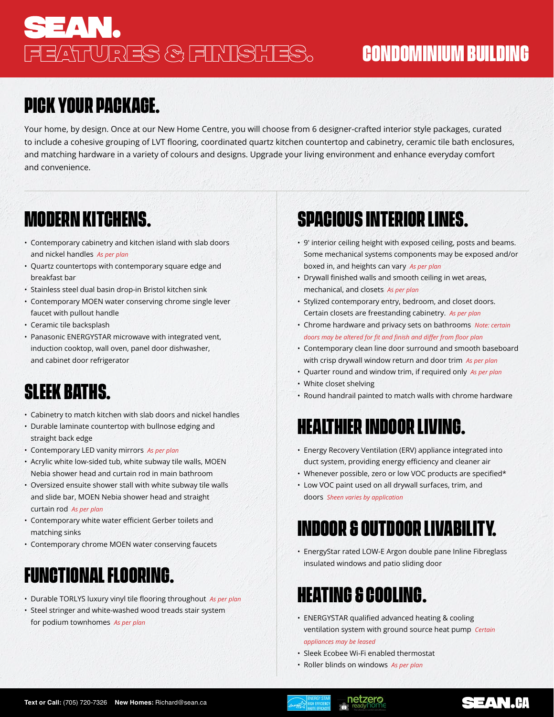# **SEAN.** FEATURES & FINISHES. **CONDOMINIUM BUILDING**

# **PICK YOUR PACKAGE.**

Your home, by design. Once at our New Home Centre, you will choose from 6 designer-crafted interior style packages, curated to include a cohesive grouping of LVT flooring, coordinated quartz kitchen countertop and cabinetry, ceramic tile bath enclosures, and matching hardware in a variety of colours and designs. Upgrade your living environment and enhance everyday comfort and convenience.

#### **MODERN KITCHENS.**

- Contemporary cabinetry and kitchen island with slab doors and nickel handles *As per plan*
- Quartz countertops with contemporary square edge and breakfast bar
- Stainless steel dual basin drop-in Bristol kitchen sink
- Contemporary MOEN water conserving chrome single lever faucet with pullout handle
- Ceramic tile backsplash
- Panasonic ENERGYSTAR microwave with integrated vent, induction cooktop, wall oven, panel door dishwasher, and cabinet door refrigerator

### **SLEEK BATHS.**

- Cabinetry to match kitchen with slab doors and nickel handles
- Durable laminate countertop with bullnose edging and straight back edge
- Contemporary LED vanity mirrors *As per plan*
- Acrylic white low-sided tub, white subway tile walls, MOEN Nebia shower head and curtain rod in main bathroom
- Oversized ensuite shower stall with white subway tile walls and slide bar, MOEN Nebia shower head and straight curtain rod *As per plan*
- Contemporary white water efficient Gerber toilets and matching sinks
- Contemporary chrome MOEN water conserving faucets

#### **FUNCTIONAL FLOORING.**

- Durable TORLYS luxury vinyl tile flooring throughout *As per plan*
- Steel stringer and white-washed wood treads stair system for podium townhomes *As per plan*

# **SPACIOUS INTERIOR LINES.**

- 9' interior ceiling height with exposed ceiling, posts and beams. Some mechanical systems components may be exposed and/or boxed in, and heights can vary *As per plan*
- Drywall finished walls and smooth ceiling in wet areas, mechanical, and closets *As per plan*
- Stylized contemporary entry, bedroom, and closet doors. Certain closets are freestanding cabinetry. *As per plan*
- Chrome hardware and privacy sets on bathrooms *Note: certain doors may be altered for fit and finish and differ from floor plan*
- Contemporary clean line door surround and smooth baseboard with crisp drywall window return and door trim *As per plan*
- Quarter round and window trim, if required only *As per plan*
- White closet shelving
- Round handrail painted to match walls with chrome hardware

### **HEALTHIER INDOOR LIVING.**

- Energy Recovery Ventilation (ERV) appliance integrated into duct system, providing energy efficiency and cleaner air
- Whenever possible, zero or low VOC products are specified\*
- Low VOC paint used on all drywall surfaces, trim, and doors *Sheen varies by application*

#### **INDOOR & OUTDOOR LIVABILITY.**

• EnergyStar rated LOW-E Argon double pane Inline Fibreglass insulated windows and patio sliding door

#### **HEATING & COOLING.**

- ENERGYSTAR qualified advanced heating & cooling ventilation system with ground source heat pump *Certain* 
	- *appliances may be leased*
- Sleek Ecobee Wi-Fi enabled thermostat

netzero

• Roller blinds on windows *As per plan*



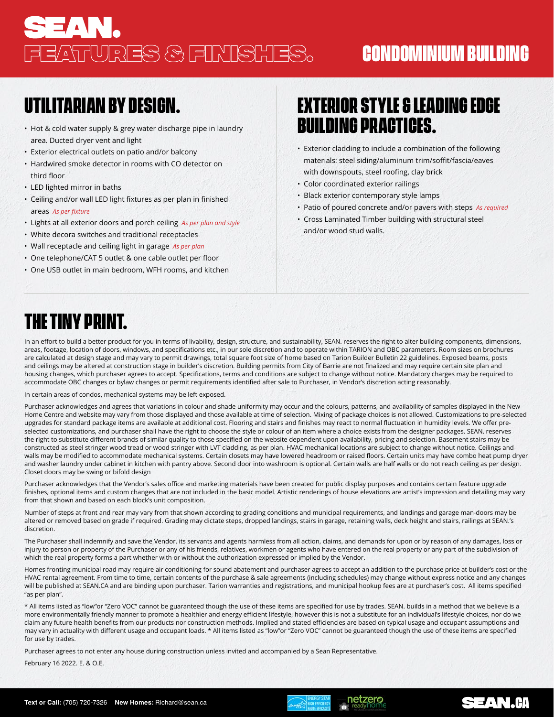# **SEAN.** FEATURES & FINISHES. **CONDOMINIUM BUILDING**

#### **UTILITARIAN BY DESIGN.**

- Hot & cold water supply & grey water discharge pipe in laundry area. Ducted dryer vent and light
- Exterior electrical outlets on patio and/or balcony
- Hardwired smoke detector in rooms with CO detector on third floor
- LED lighted mirror in baths
- Ceiling and/or wall LED light fixtures as per plan in finished areas *As per fixture*
- Lights at all exterior doors and porch ceiling *As per plan and style*
- White decora switches and traditional receptacles
- Wall receptacle and ceiling light in garage *As per plan*
- One telephone/CAT 5 outlet & one cable outlet per floor
- One USB outlet in main bedroom, WFH rooms, and kitchen

#### **EXTERIOR STYLE & LEADING EDGE BUILDING PRACTICES.**

- Exterior cladding to include a combination of the following materials: steel siding/aluminum trim/soffit/fascia/eaves with downspouts, steel roofing, clay brick
- Color coordinated exterior railings
- Black exterior contemporary style lamps
- Patio of poured concrete and/or pavers with steps *As required*
- Cross Laminated Timber building with structural steel and/or wood stud walls.

### **THE TINY PRINT.**

In an effort to build a better product for you in terms of livability, design, structure, and sustainability, SEAN. reserves the right to alter building components, dimensions, areas, footage, location of doors, windows, and specifications etc., in our sole discretion and to operate within TARION and OBC parameters. Room sizes on brochures are calculated at design stage and may vary to permit drawings, total square foot size of home based on Tarion Builder Bulletin 22 guidelines. Exposed beams, posts and ceilings may be altered at construction stage in builder's discretion. Building permits from City of Barrie are not finalized and may require certain site plan and housing changes, which purchaser agrees to accept. Specifications, terms and conditions are subject to change without notice. Mandatory charges may be required to accommodate OBC changes or bylaw changes or permit requirements identified after sale to Purchaser, in Vendor's discretion acting reasonably.

In certain areas of condos, mechanical systems may be left exposed.

Purchaser acknowledges and agrees that variations in colour and shade uniformity may occur and the colours, patterns, and availability of samples displayed in the New Home Centre and website may vary from those displayed and those available at time of selection. Mixing of package choices is not allowed. Customizations to pre-selected upgrades for standard package items are available at additional cost. Flooring and stairs and finishes may react to normal fluctuation in humidity levels. We offer preselected customizations, and purchaser shall have the right to choose the style or colour of an item where a choice exists from the designer packages. SEAN. reserves the right to substitute different brands of similar quality to those specified on the website dependent upon availability, pricing and selection. Basement stairs may be constructed as steel stringer wood tread or wood stringer with LVT cladding, as per plan. HVAC mechanical locations are subject to change without notice. Ceilings and walls may be modified to accommodate mechanical systems. Certain closets may have lowered headroom or raised floors. Certain units may have combo heat pump dryer and washer laundry under cabinet in kitchen with pantry above. Second door into washroom is optional. Certain walls are half walls or do not reach ceiling as per design. Closet doors may be swing or bifold design

Purchaser acknowledges that the Vendor's sales office and marketing materials have been created for public display purposes and contains certain feature upgrade finishes, optional items and custom changes that are not included in the basic model. Artistic renderings of house elevations are artist's impression and detailing may vary from that shown and based on each block's unit composition.

Number of steps at front and rear may vary from that shown according to grading conditions and municipal requirements, and landings and garage man-doors may be altered or removed based on grade if required. Grading may dictate steps, dropped landings, stairs in garage, retaining walls, deck height and stairs, railings at SEAN.'s discretion.

The Purchaser shall indemnify and save the Vendor, its servants and agents harmless from all action, claims, and demands for upon or by reason of any damages, loss or injury to person or property of the Purchaser or any of his friends, relatives, workmen or agents who have entered on the real property or any part of the subdivision of which the real property forms a part whether with or without the authorization expressed or implied by the Vendor.

Homes fronting municipal road may require air conditioning for sound abatement and purchaser agrees to accept an addition to the purchase price at builder's cost or the HVAC rental agreement. From time to time, certain contents of the purchase & sale agreements (including schedules) may change without express notice and any changes will be published at SEAN.CA and are binding upon purchaser. Tarion warranties and registrations, and municipal hookup fees are at purchaser's cost. All items specified "as per plan".

\* All items listed as "low"or "Zero VOC" cannot be guaranteed though the use of these items are specified for use by trades. SEAN. builds in a method that we believe is a more environmentally friendly manner to promote a healthier and energy efficient lifestyle, however this is not a substitute for an individual's lifestyle choices, nor do we claim any future health benefits from our products nor construction methods. Implied and stated efficiencies are based on typical usage and occupant assumptions and may vary in actuality with different usage and occupant loads. \* All items listed as "low"or "Zero VOC" cannot be guaranteed though the use of these items are specified for use by trades.

Purchaser agrees to not enter any house during construction unless invited and accompanied by a Sean Representative.

February 16 2022. E. & O.E.



netzero

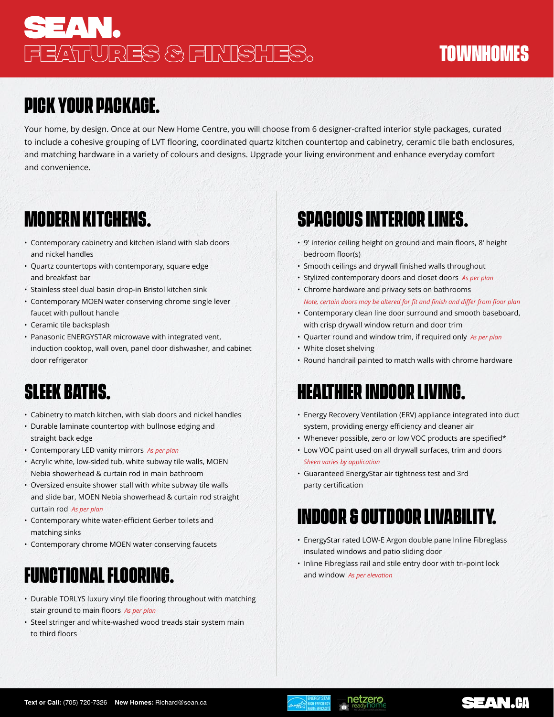# **SEAN.** FEATURES & FINISHES. **TOWNHOMES**

## **PICK YOUR PACKAGE.**

Your home, by design. Once at our New Home Centre, you will choose from 6 designer-crafted interior style packages, curated to include a cohesive grouping of LVT flooring, coordinated quartz kitchen countertop and cabinetry, ceramic tile bath enclosures, and matching hardware in a variety of colours and designs. Upgrade your living environment and enhance everyday comfort and convenience.

#### **MODERN KITCHENS.**

- Contemporary cabinetry and kitchen island with slab doors and nickel handles
- Quartz countertops with contemporary, square edge and breakfast bar
- Stainless steel dual basin drop-in Bristol kitchen sink
- Contemporary MOEN water conserving chrome single lever faucet with pullout handle
- Ceramic tile backsplash
- Panasonic ENERGYSTAR microwave with integrated vent, induction cooktop, wall oven, panel door dishwasher, and cabinet door refrigerator

### **SLEEK BATHS.**

- Cabinetry to match kitchen, with slab doors and nickel handles
- Durable laminate countertop with bullnose edging and straight back edge
- Contemporary LED vanity mirrors *As per plan*
- Acrylic white, low-sided tub, white subway tile walls, MOEN Nebia showerhead & curtain rod in main bathroom
- Oversized ensuite shower stall with white subway tile walls and slide bar, MOEN Nebia showerhead & curtain rod straight curtain rod *As per plan*
- Contemporary white water-efficient Gerber toilets and matching sinks
- Contemporary chrome MOEN water conserving faucets

#### **FUNCTIONAL FLOORING.**

- Durable TORLYS luxury vinyl tile flooring throughout with matching stair ground to main floors *As per plan*
- Steel stringer and white-washed wood treads stair system main to third floors

# **SPACIOUS INTERIOR LINES.**

- 9' interior ceiling height on ground and main floors, 8' height bedroom floor(s)
- Smooth ceilings and drywall finished walls throughout
- Stylized contemporary doors and closet doors *As per plan*
- Chrome hardware and privacy sets on bathrooms *Note, certain doors may be altered for fit and finish and differ from floor plan*
- Contemporary clean line door surround and smooth baseboard, with crisp drywall window return and door trim
- Quarter round and window trim, if required only *As per plan*
- White closet shelving
- Round handrail painted to match walls with chrome hardware

### **HEALTHIER INDOOR LIVING.**

- Energy Recovery Ventilation (ERV) appliance integrated into duct system, providing energy efficiency and cleaner air
- Whenever possible, zero or low VOC products are specified\*
- Low VOC paint used on all drywall surfaces, trim and doors *Sheen varies by application*
- Guaranteed EnergyStar air tightness test and 3rd party certification

## **INDOOR & OUTDOOR LIVABILITY.**

- EnergyStar rated LOW-E Argon double pane Inline Fibreglass insulated windows and patio sliding door
- Inline Fibreglass rail and stile entry door with tri-point lock and window *As per elevation*





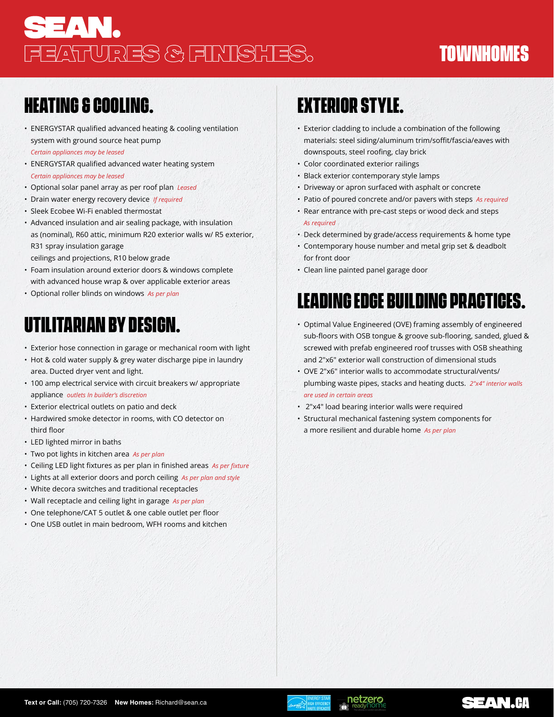# **SEAN.** FEATURES & FINISHES. **TOWNHOMES**

#### **HEATING & COOLING.**

- ENERGYSTAR qualified advanced heating & cooling ventilation system with ground source heat pump *Certain appliances may be leased*
- ENERGYSTAR qualified advanced water heating system *Certain appliances may be leased*
- Optional solar panel array as per roof plan *Leased*
- Drain water energy recovery device *If required*
- Sleek Ecobee Wi-Fi enabled thermostat
- Advanced insulation and air sealing package, with insulation as (nominal), R60 attic, minimum R20 exterior walls w/ R5 exterior, R31 spray insulation garage
- ceilings and projections, R10 below grade
- Foam insulation around exterior doors & windows complete with advanced house wrap & over applicable exterior areas
- Optional roller blinds on windows *As per plan*

## **UTILITARIAN BY DESIGN.**

- Exterior hose connection in garage or mechanical room with light
- Hot & cold water supply & grey water discharge pipe in laundry area. Ducted dryer vent and light.
- 100 amp electrical service with circuit breakers w/ appropriate appliance *outlets In builder's discretion*
- Exterior electrical outlets on patio and deck
- Hardwired smoke detector in rooms, with CO detector on third floor
- LED lighted mirror in baths
- Two pot lights in kitchen area *As per plan*
- Ceiling LED light fixtures as per plan in finished areas *As per fixture*
- Lights at all exterior doors and porch ceiling *As per plan and style*
- White decora switches and traditional receptacles
- Wall receptacle and ceiling light in garage *As per plan*
- One telephone/CAT 5 outlet & one cable outlet per floor
- One USB outlet in main bedroom, WFH rooms and kitchen

# **EXTERIOR STYLE.**

- Exterior cladding to include a combination of the following materials: steel siding/aluminum trim/soffit/fascia/eaves with downspouts, steel roofing, clay brick
- Color coordinated exterior railings
- Black exterior contemporary style lamps
- Driveway or apron surfaced with asphalt or concrete
- Patio of poured concrete and/or pavers with steps *As required*
- Rear entrance with pre-cast steps or wood deck and steps *As required*
- Deck determined by grade/access requirements & home type
- Contemporary house number and metal grip set & deadbolt for front door
- Clean line painted panel garage door

# **LEADING EDGE BUILDING PRACTICES.**

- Optimal Value Engineered (OVE) framing assembly of engineered sub-floors with OSB tongue & groove sub-flooring, sanded, glued & screwed with prefab engineered roof trusses with OSB sheathing and 2"x6" exterior wall construction of dimensional studs
- OVE 2"x6" interior walls to accommodate structural/vents/ plumbing waste pipes, stacks and heating ducts. *2"x4" interior walls are used in certain areas*
- 2"x4" load bearing interior walls were required
- Structural mechanical fastening system components for a more resilient and durable home *As per plan*